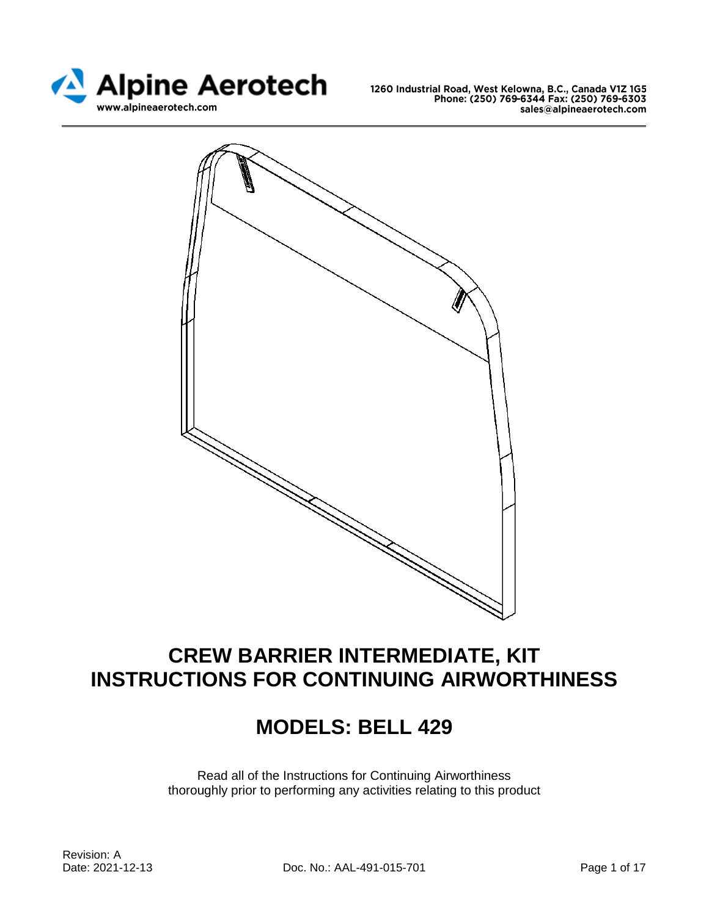



# **CREW BARRIER INTERMEDIATE, KIT INSTRUCTIONS FOR CONTINUING AIRWORTHINESS**

# **MODELS: BELL 429**

Read all of the Instructions for Continuing Airworthiness thoroughly prior to performing any activities relating to this product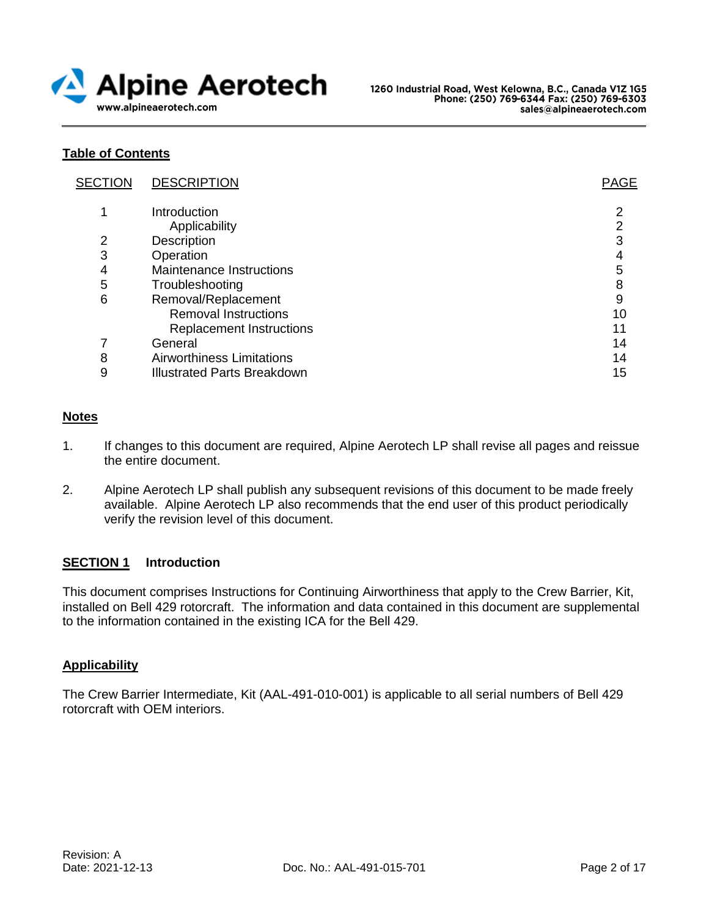

## **Table of Contents**

| <b>SECTION</b> | <b>DESCRIPTION</b>                 | <b>PAGE</b> |
|----------------|------------------------------------|-------------|
|                | Introduction                       | າ           |
|                | Applicability                      | 2           |
| 2              | Description                        | 3           |
| 3              | Operation                          |             |
| 4              | Maintenance Instructions           | 5           |
| 5              | Troubleshooting                    | 8           |
| 6              | Removal/Replacement                | 9           |
|                | <b>Removal Instructions</b>        | 10          |
|                | <b>Replacement Instructions</b>    | 11          |
|                | General                            | 14          |
| 8              | <b>Airworthiness Limitations</b>   | 14          |
| 9              | <b>Illustrated Parts Breakdown</b> | 15          |
|                |                                    |             |

## **Notes**

- 1. If changes to this document are required, Alpine Aerotech LP shall revise all pages and reissue the entire document.
- 2. Alpine Aerotech LP shall publish any subsequent revisions of this document to be made freely available. Alpine Aerotech LP also recommends that the end user of this product periodically verify the revision level of this document.

## **SECTION 1 Introduction**

This document comprises Instructions for Continuing Airworthiness that apply to the Crew Barrier, Kit, installed on Bell 429 rotorcraft. The information and data contained in this document are supplemental to the information contained in the existing ICA for the Bell 429.

## **Applicability**

The Crew Barrier Intermediate, Kit (AAL-491-010-001) is applicable to all serial numbers of Bell 429 rotorcraft with OEM interiors.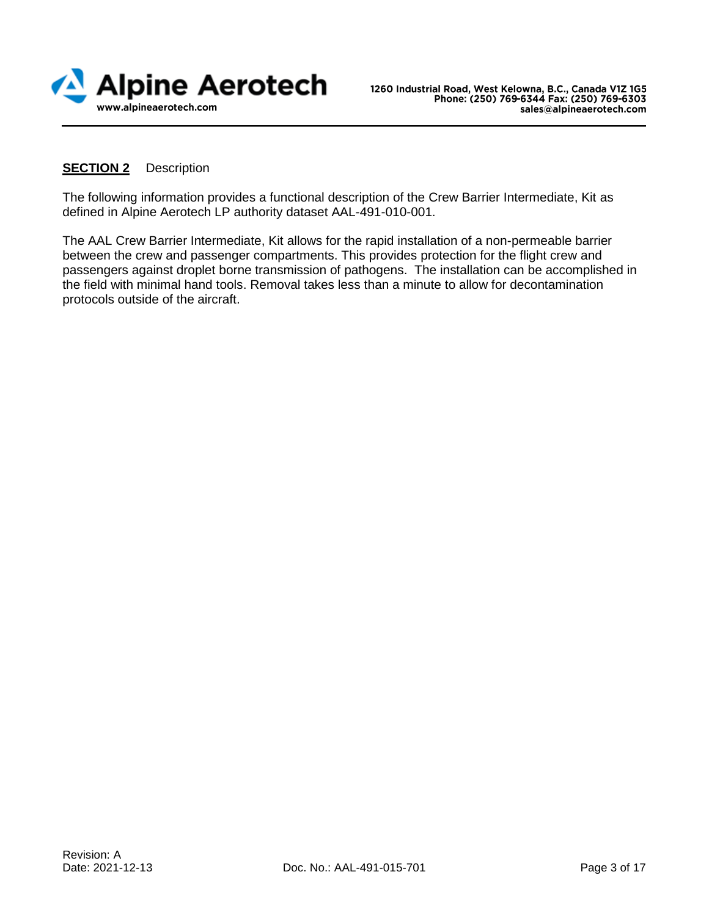

## **SECTION 2** Description

The following information provides a functional description of the Crew Barrier Intermediate, Kit as defined in Alpine Aerotech LP authority dataset AAL-491-010-001.

The AAL Crew Barrier Intermediate, Kit allows for the rapid installation of a non-permeable barrier between the crew and passenger compartments. This provides protection for the flight crew and passengers against droplet borne transmission of pathogens. The installation can be accomplished in the field with minimal hand tools. Removal takes less than a minute to allow for decontamination protocols outside of the aircraft.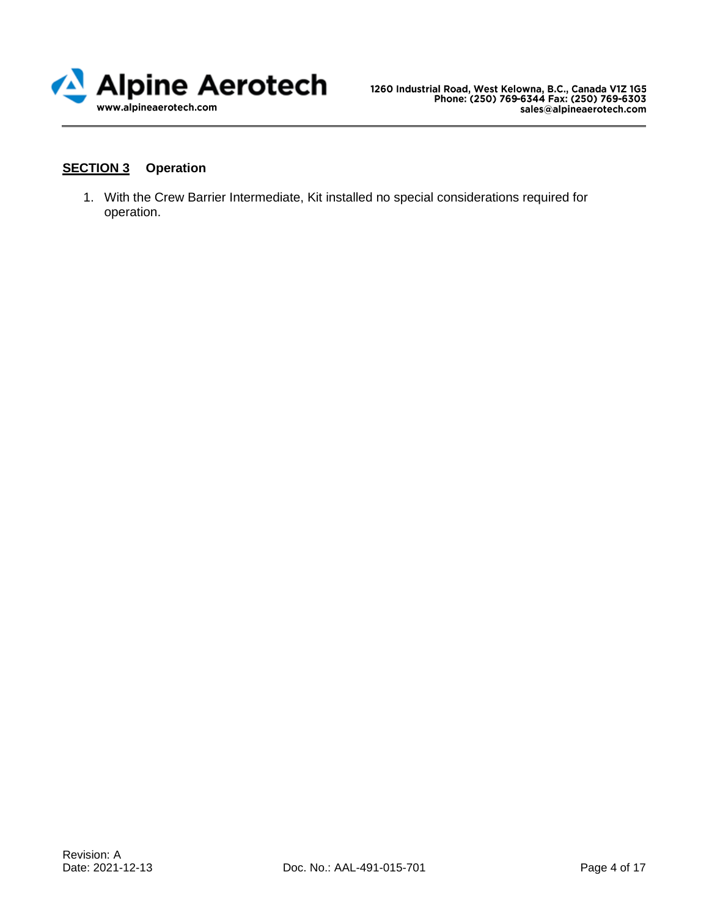

# **SECTION 3 Operation**

1. With the Crew Barrier Intermediate, Kit installed no special considerations required for operation.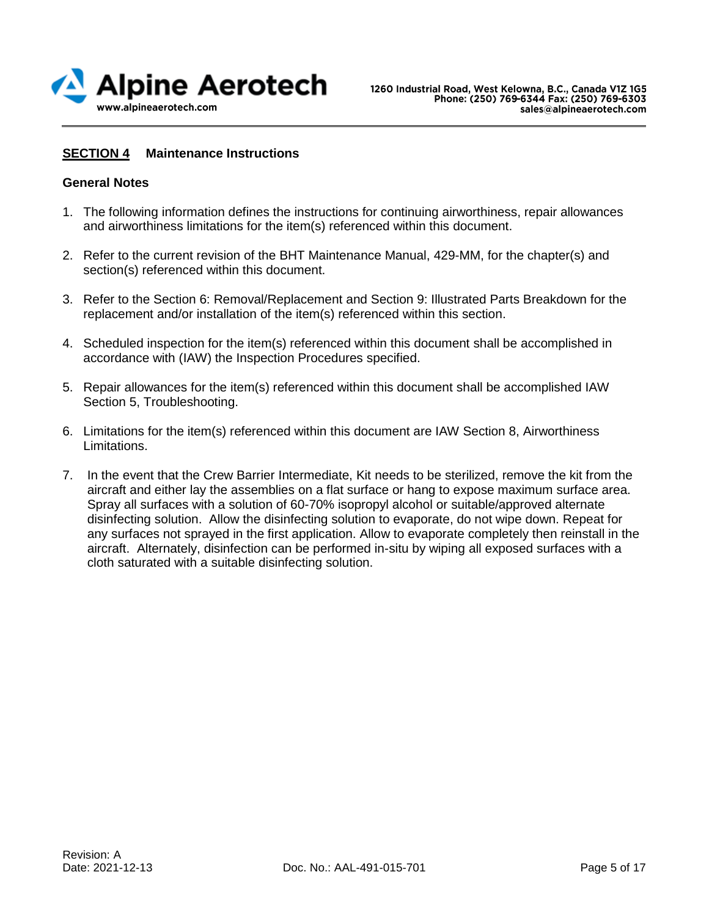

## **SECTION 4 Maintenance Instructions**

## **General Notes**

- 1. The following information defines the instructions for continuing airworthiness, repair allowances and airworthiness limitations for the item(s) referenced within this document.
- 2. Refer to the current revision of the BHT Maintenance Manual, 429-MM, for the chapter(s) and section(s) referenced within this document.
- 3. Refer to the Section 6: Removal/Replacement and Section 9: Illustrated Parts Breakdown for the replacement and/or installation of the item(s) referenced within this section.
- 4. Scheduled inspection for the item(s) referenced within this document shall be accomplished in accordance with (IAW) the Inspection Procedures specified.
- 5. Repair allowances for the item(s) referenced within this document shall be accomplished IAW Section 5, Troubleshooting.
- 6. Limitations for the item(s) referenced within this document are IAW Section 8, Airworthiness Limitations.
- 7. In the event that the Crew Barrier Intermediate, Kit needs to be sterilized, remove the kit from the aircraft and either lay the assemblies on a flat surface or hang to expose maximum surface area. Spray all surfaces with a solution of 60-70% isopropyl alcohol or suitable/approved alternate disinfecting solution. Allow the disinfecting solution to evaporate, do not wipe down. Repeat for any surfaces not sprayed in the first application. Allow to evaporate completely then reinstall in the aircraft. Alternately, disinfection can be performed in-situ by wiping all exposed surfaces with a cloth saturated with a suitable disinfecting solution.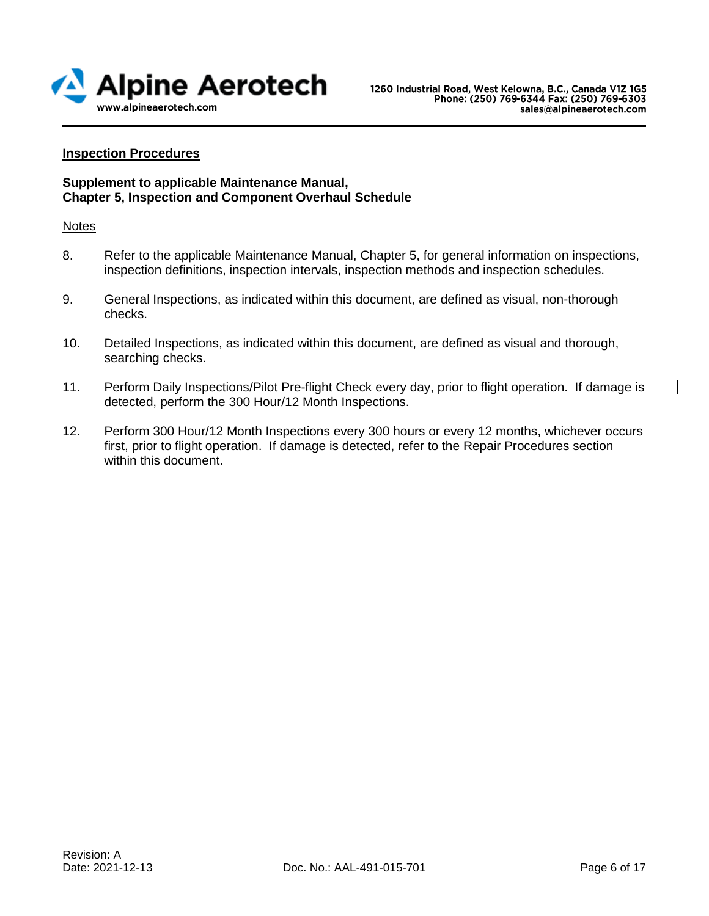

## **Inspection Procedures**

#### **Supplement to applicable Maintenance Manual, Chapter 5, Inspection and Component Overhaul Schedule**

#### Notes

- 8. Refer to the applicable Maintenance Manual, Chapter 5, for general information on inspections, inspection definitions, inspection intervals, inspection methods and inspection schedules.
- 9. General Inspections, as indicated within this document, are defined as visual, non-thorough checks.
- 10. Detailed Inspections, as indicated within this document, are defined as visual and thorough, searching checks.
- 11. Perform Daily Inspections/Pilot Pre-flight Check every day, prior to flight operation. If damage is detected, perform the 300 Hour/12 Month Inspections.
- 12. Perform 300 Hour/12 Month Inspections every 300 hours or every 12 months, whichever occurs first, prior to flight operation. If damage is detected, refer to the Repair Procedures section within this document.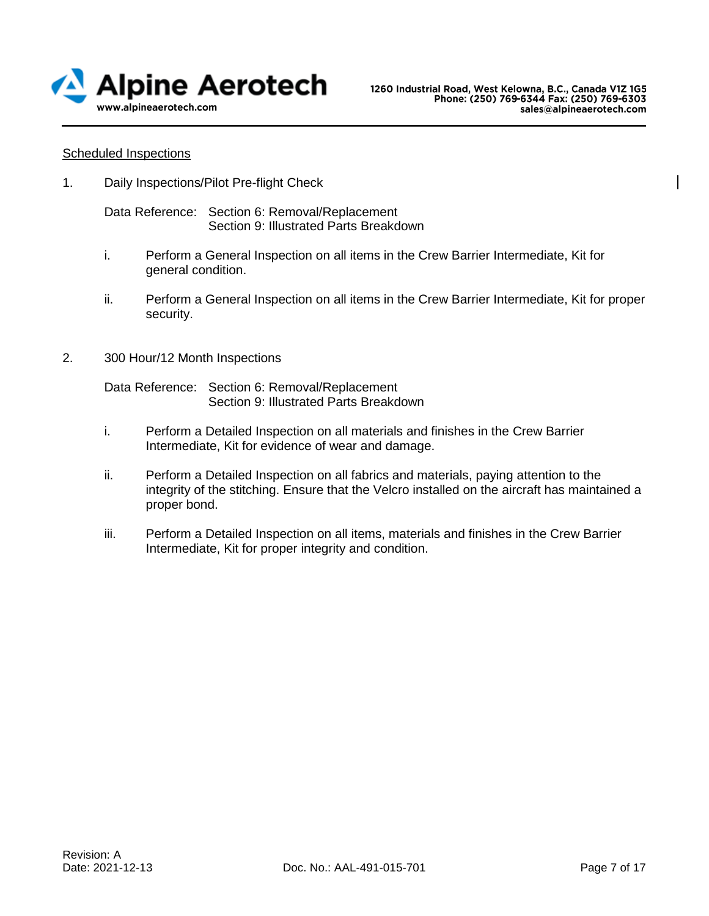

#### Scheduled Inspections

1. Daily Inspections/Pilot Pre-flight Check

Data Reference: Section 6: Removal/Replacement Section 9: Illustrated Parts Breakdown

- i. Perform a General Inspection on all items in the Crew Barrier Intermediate, Kit for general condition.
- ii. Perform a General Inspection on all items in the Crew Barrier Intermediate, Kit for proper security.
- 2. 300 Hour/12 Month Inspections

Data Reference: Section 6: Removal/Replacement Section 9: Illustrated Parts Breakdown

- i. Perform a Detailed Inspection on all materials and finishes in the Crew Barrier Intermediate, Kit for evidence of wear and damage.
- ii. Perform a Detailed Inspection on all fabrics and materials, paying attention to the integrity of the stitching. Ensure that the Velcro installed on the aircraft has maintained a proper bond.
- iii. Perform a Detailed Inspection on all items, materials and finishes in the Crew Barrier Intermediate, Kit for proper integrity and condition.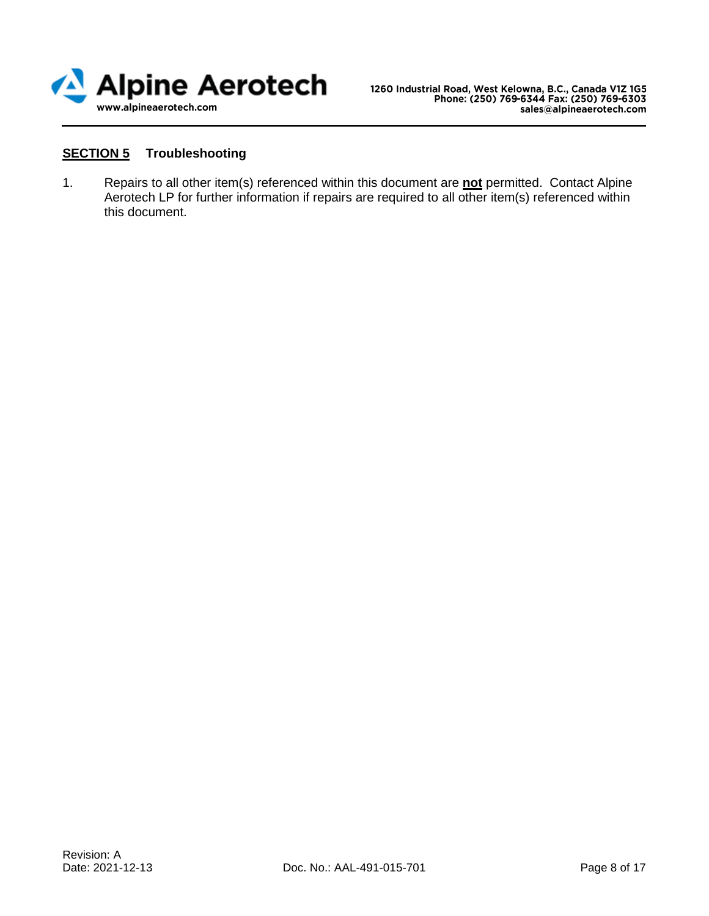

# **SECTION 5 Troubleshooting**

1. Repairs to all other item(s) referenced within this document are **not** permitted. Contact Alpine Aerotech LP for further information if repairs are required to all other item(s) referenced within this document.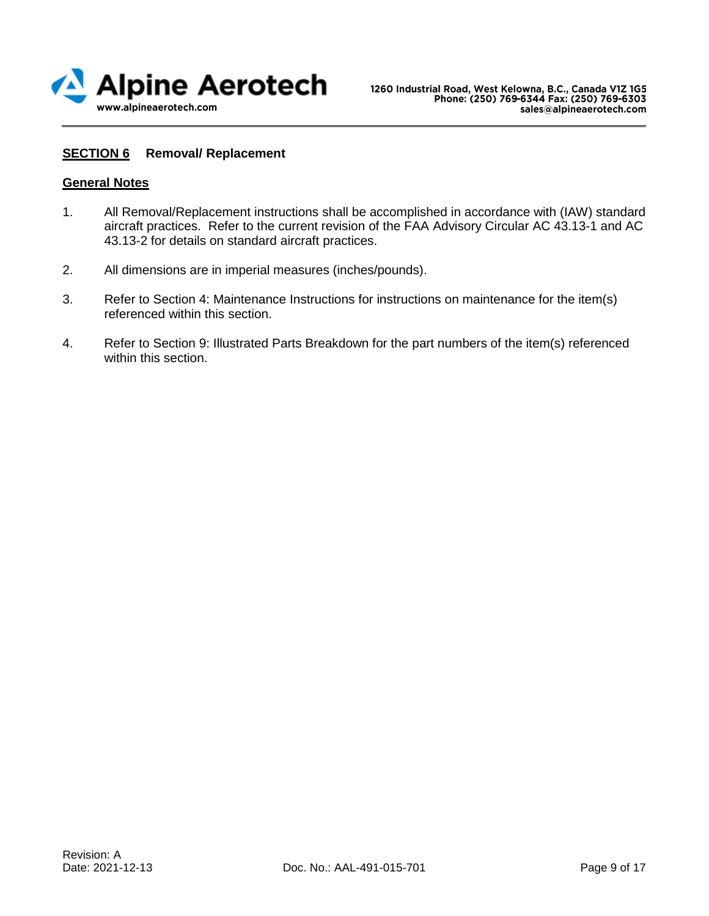

## **SECTION 6 Removal/ Replacement**

#### **General Notes**

- 1. All Removal/Replacement instructions shall be accomplished in accordance with (IAW) standard aircraft practices. Refer to the current revision of the FAA Advisory Circular AC 43.13-1 and AC 43.13-2 for details on standard aircraft practices.
- 2. All dimensions are in imperial measures (inches/pounds).
- 3. Refer to Section 4: Maintenance Instructions for instructions on maintenance for the item(s) referenced within this section.
- 4. Refer to Section 9: Illustrated Parts Breakdown for the part numbers of the item(s) referenced within this section.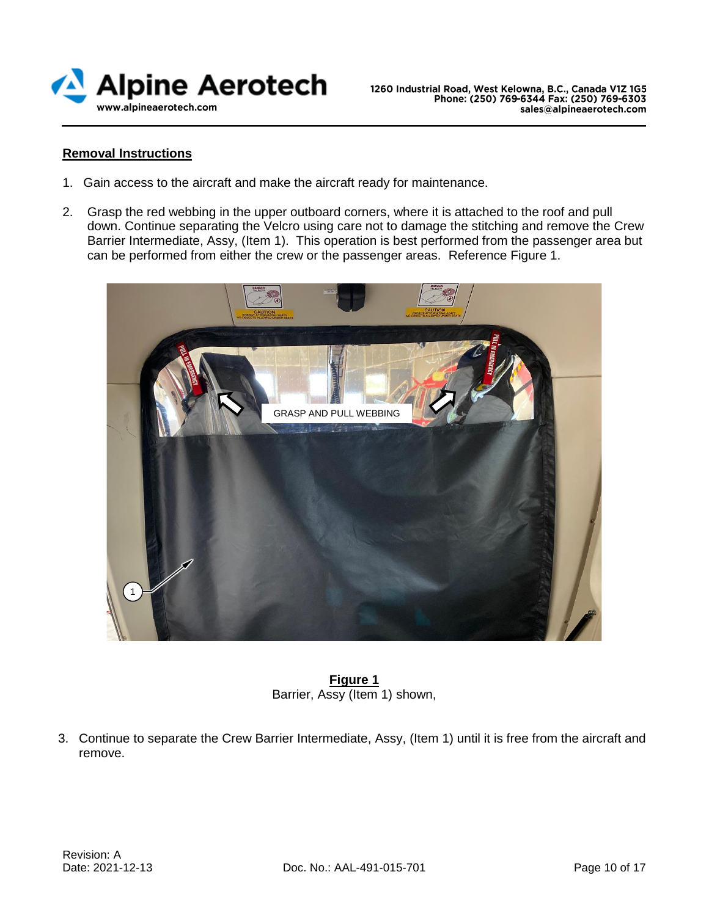

## **Removal Instructions**

- 1. Gain access to the aircraft and make the aircraft ready for maintenance.
- 2. Grasp the red webbing in the upper outboard corners, where it is attached to the roof and pull down. Continue separating the Velcro using care not to damage the stitching and remove the Crew Barrier Intermediate, Assy, (Item 1). This operation is best performed from the passenger area but can be performed from either the crew or the passenger areas. Reference Figure 1.



**Figure 1** Barrier, Assy (Item 1) shown,

3. Continue to separate the Crew Barrier Intermediate, Assy, (Item 1) until it is free from the aircraft and remove.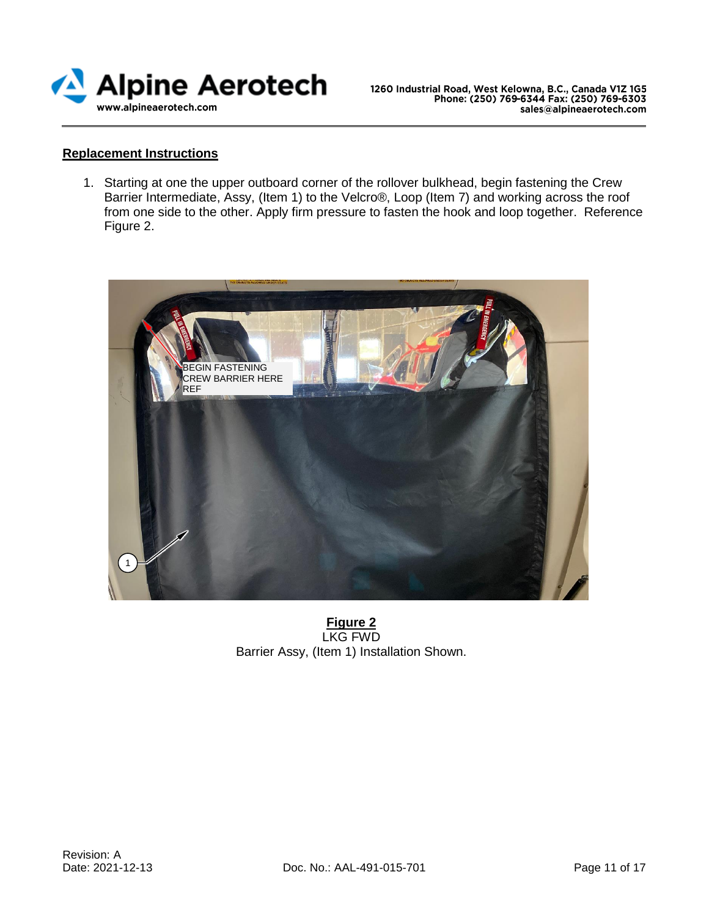

#### **Replacement Instructions**

1. Starting at one the upper outboard corner of the rollover bulkhead, begin fastening the Crew Barrier Intermediate, Assy, (Item 1) to the Velcro®, Loop (Item 7) and working across the roof from one side to the other. Apply firm pressure to fasten the hook and loop together. Reference Figure 2.



**Figure 2** LKG FWD Barrier Assy, (Item 1) Installation Shown.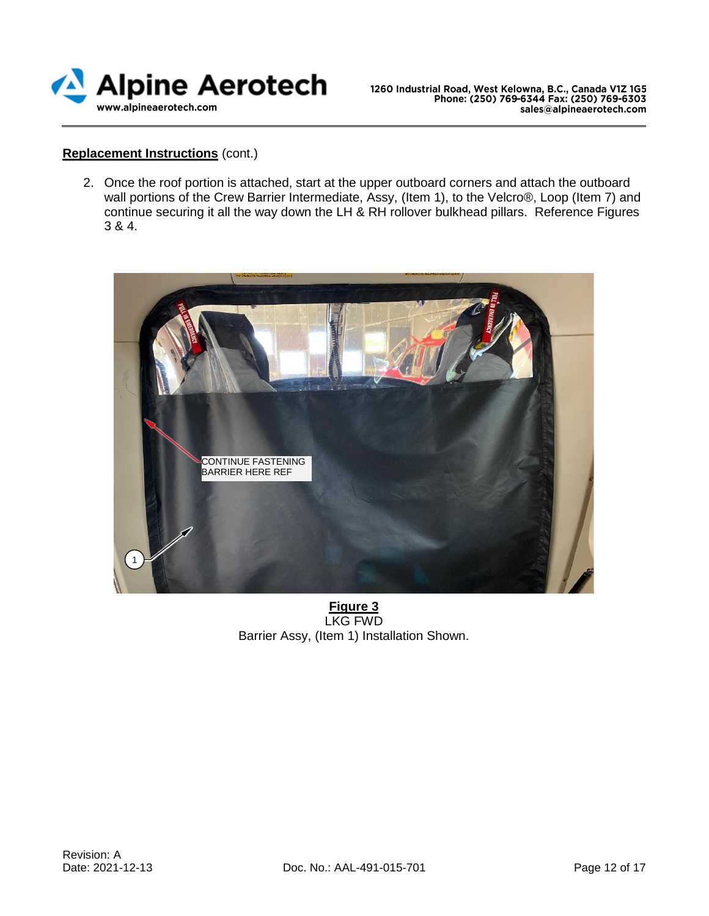

## **Replacement Instructions** (cont.)

2. Once the roof portion is attached, start at the upper outboard corners and attach the outboard wall portions of the Crew Barrier Intermediate, Assy, (Item 1), to the Velcro®, Loop (Item 7) and continue securing it all the way down the LH & RH rollover bulkhead pillars. Reference Figures 3 & 4.



**Figure 3** LKG FWD Barrier Assy, (Item 1) Installation Shown.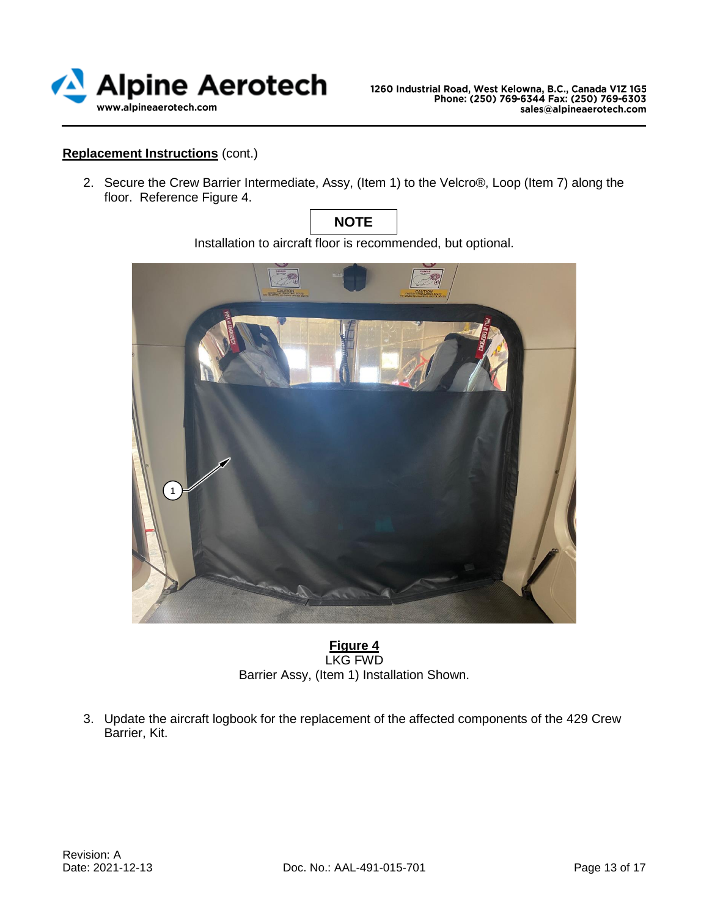

## **Replacement Instructions** (cont.)

2. Secure the Crew Barrier Intermediate, Assy, (Item 1) to the Velcro®, Loop (Item 7) along the floor. Reference Figure 4.



Installation to aircraft floor is recommended, but optional.



**Figure 4** LKG FWD Barrier Assy, (Item 1) Installation Shown.

3. Update the aircraft logbook for the replacement of the affected components of the 429 Crew Barrier, Kit.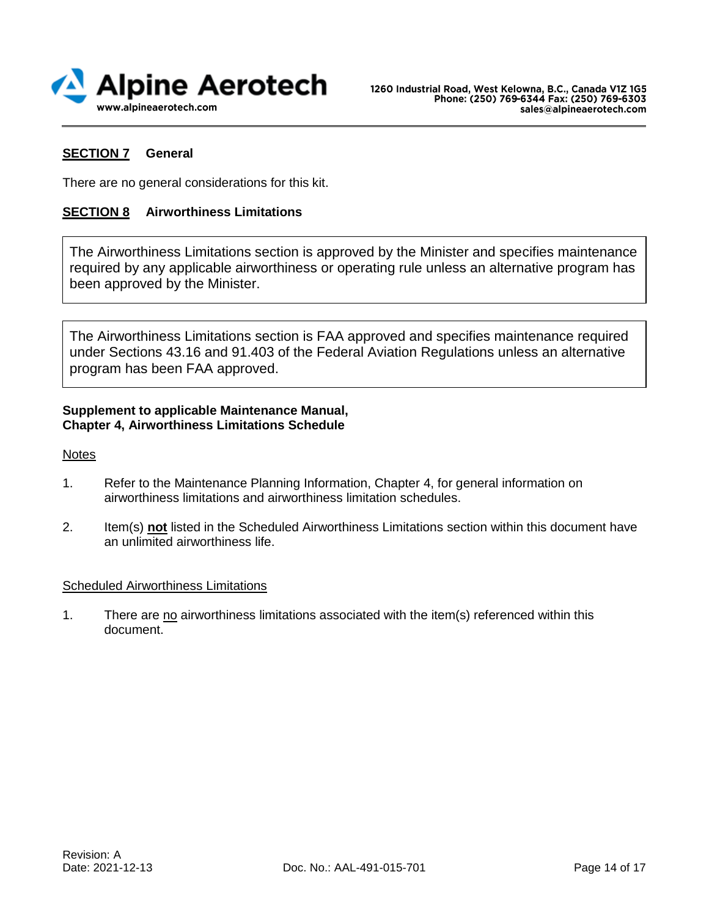

## **SECTION 7 General**

There are no general considerations for this kit.

## **SECTION 8 Airworthiness Limitations**

The Airworthiness Limitations section is approved by the Minister and specifies maintenance required by any applicable airworthiness or operating rule unless an alternative program has been approved by the Minister.

The Airworthiness Limitations section is FAA approved and specifies maintenance required under Sections 43.16 and 91.403 of the Federal Aviation Regulations unless an alternative program has been FAA approved.

## **Supplement to applicable Maintenance Manual, Chapter 4, Airworthiness Limitations Schedule**

**Notes** 

- 1. Refer to the Maintenance Planning Information, Chapter 4, for general information on airworthiness limitations and airworthiness limitation schedules.
- 2. Item(s) **not** listed in the Scheduled Airworthiness Limitations section within this document have an unlimited airworthiness life.

## Scheduled Airworthiness Limitations

1. There are no airworthiness limitations associated with the item(s) referenced within this document.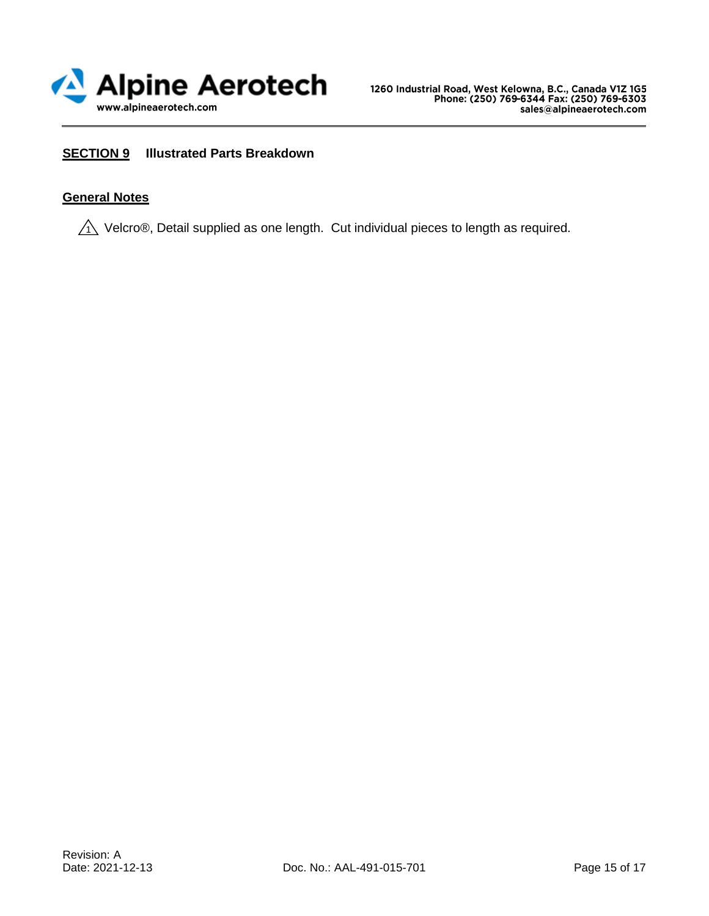

## **SECTION 9 Illustrated Parts Breakdown**

## **General Notes**

 $\sqrt{\hat{}}$  Velcro®, Detail supplied as one length. Cut individual pieces to length as required.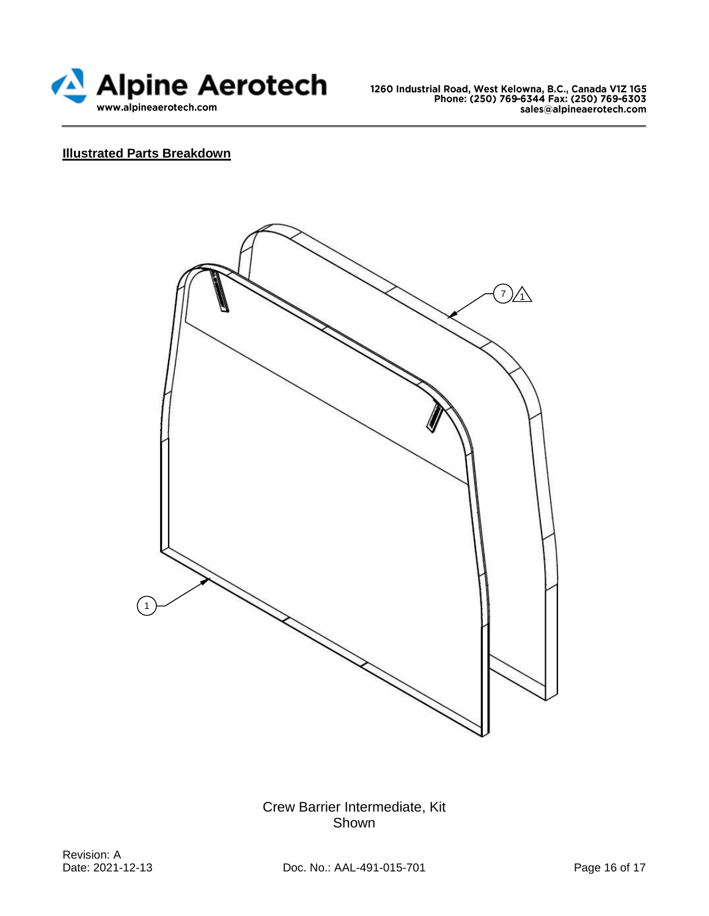

# **Illustrated Parts Breakdown**



Crew Barrier Intermediate, Kit Shown